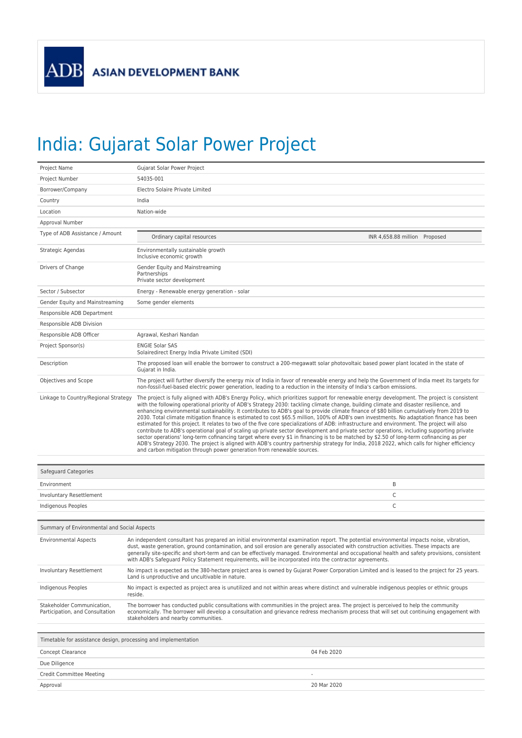## India: Gujarat Solar Power Project

| Project Name                                | Gujarat Solar Power Project                                                                                                                                                                                                                                                                                                                                                                                                                                                                                                                                                                                                                                                                                                                                                                                                                                                                                                                                                                                                                                                                                                                                                                                                                       |                                                                                                                                                |  |
|---------------------------------------------|---------------------------------------------------------------------------------------------------------------------------------------------------------------------------------------------------------------------------------------------------------------------------------------------------------------------------------------------------------------------------------------------------------------------------------------------------------------------------------------------------------------------------------------------------------------------------------------------------------------------------------------------------------------------------------------------------------------------------------------------------------------------------------------------------------------------------------------------------------------------------------------------------------------------------------------------------------------------------------------------------------------------------------------------------------------------------------------------------------------------------------------------------------------------------------------------------------------------------------------------------|------------------------------------------------------------------------------------------------------------------------------------------------|--|
| Project Number                              | 54035-001                                                                                                                                                                                                                                                                                                                                                                                                                                                                                                                                                                                                                                                                                                                                                                                                                                                                                                                                                                                                                                                                                                                                                                                                                                         |                                                                                                                                                |  |
| Borrower/Company                            | Electro Solaire Private Limited                                                                                                                                                                                                                                                                                                                                                                                                                                                                                                                                                                                                                                                                                                                                                                                                                                                                                                                                                                                                                                                                                                                                                                                                                   |                                                                                                                                                |  |
| Country                                     | India                                                                                                                                                                                                                                                                                                                                                                                                                                                                                                                                                                                                                                                                                                                                                                                                                                                                                                                                                                                                                                                                                                                                                                                                                                             |                                                                                                                                                |  |
| Location                                    | Nation-wide                                                                                                                                                                                                                                                                                                                                                                                                                                                                                                                                                                                                                                                                                                                                                                                                                                                                                                                                                                                                                                                                                                                                                                                                                                       |                                                                                                                                                |  |
| Approval Number                             |                                                                                                                                                                                                                                                                                                                                                                                                                                                                                                                                                                                                                                                                                                                                                                                                                                                                                                                                                                                                                                                                                                                                                                                                                                                   |                                                                                                                                                |  |
| Type of ADB Assistance / Amount             | INR 4,658.88 million Proposed<br>Ordinary capital resources                                                                                                                                                                                                                                                                                                                                                                                                                                                                                                                                                                                                                                                                                                                                                                                                                                                                                                                                                                                                                                                                                                                                                                                       |                                                                                                                                                |  |
| Strategic Agendas                           | Environmentally sustainable growth<br>Inclusive economic growth                                                                                                                                                                                                                                                                                                                                                                                                                                                                                                                                                                                                                                                                                                                                                                                                                                                                                                                                                                                                                                                                                                                                                                                   |                                                                                                                                                |  |
| Drivers of Change                           | Gender Equity and Mainstreaming<br>Partnerships<br>Private sector development                                                                                                                                                                                                                                                                                                                                                                                                                                                                                                                                                                                                                                                                                                                                                                                                                                                                                                                                                                                                                                                                                                                                                                     |                                                                                                                                                |  |
| Sector / Subsector                          | Energy - Renewable energy generation - solar                                                                                                                                                                                                                                                                                                                                                                                                                                                                                                                                                                                                                                                                                                                                                                                                                                                                                                                                                                                                                                                                                                                                                                                                      |                                                                                                                                                |  |
| Gender Equity and Mainstreaming             | Some gender elements                                                                                                                                                                                                                                                                                                                                                                                                                                                                                                                                                                                                                                                                                                                                                                                                                                                                                                                                                                                                                                                                                                                                                                                                                              |                                                                                                                                                |  |
| Responsible ADB Department                  |                                                                                                                                                                                                                                                                                                                                                                                                                                                                                                                                                                                                                                                                                                                                                                                                                                                                                                                                                                                                                                                                                                                                                                                                                                                   |                                                                                                                                                |  |
| Responsible ADB Division                    |                                                                                                                                                                                                                                                                                                                                                                                                                                                                                                                                                                                                                                                                                                                                                                                                                                                                                                                                                                                                                                                                                                                                                                                                                                                   |                                                                                                                                                |  |
| Responsible ADB Officer                     | Agrawal, Keshari Nandan                                                                                                                                                                                                                                                                                                                                                                                                                                                                                                                                                                                                                                                                                                                                                                                                                                                                                                                                                                                                                                                                                                                                                                                                                           |                                                                                                                                                |  |
| Project Sponsor(s)                          | <b>ENGIE Solar SAS</b><br>Solairedirect Energy India Private Limited (SDI)                                                                                                                                                                                                                                                                                                                                                                                                                                                                                                                                                                                                                                                                                                                                                                                                                                                                                                                                                                                                                                                                                                                                                                        |                                                                                                                                                |  |
| Description                                 | The proposed loan will enable the borrower to construct a 200-megawatt solar photovoltaic based power plant located in the state of<br>Gujarat in India.                                                                                                                                                                                                                                                                                                                                                                                                                                                                                                                                                                                                                                                                                                                                                                                                                                                                                                                                                                                                                                                                                          |                                                                                                                                                |  |
| Objectives and Scope                        | The project will further diversify the energy mix of India in favor of renewable energy and help the Government of India meet its targets for<br>non-fossil-fuel-based electric power generation, leading to a reduction in the intensity of India's carbon emissions.                                                                                                                                                                                                                                                                                                                                                                                                                                                                                                                                                                                                                                                                                                                                                                                                                                                                                                                                                                            |                                                                                                                                                |  |
| Linkage to Country/Regional Strategy        | The project is fully aligned with ADB's Energy Policy, which prioritizes support for renewable energy development. The project is consistent<br>with the following operational priority of ADB's Strategy 2030: tackling climate change, building climate and disaster resilience, and<br>enhancing environmental sustainability. It contributes to ADB's goal to provide climate finance of \$80 billion cumulatively from 2019 to<br>2030. Total climate mitigation finance is estimated to cost \$65.5 million, 100% of ADB's own investments. No adaptation finance has been<br>estimated for this project. It relates to two of the five core specializations of ADB: infrastructure and environment. The project will also<br>contribute to ADB's operational goal of scaling up private sector development and private sector operations, including supporting private<br>sector operations' long-term cofinancing target where every \$1 in financing is to be matched by \$2.50 of long-term cofinancing as per<br>ADB's Strategy 2030. The project is aligned with ADB's country partnership strategy for India, 2018 2022, which calls for higher efficiency<br>and carbon mitigation through power generation from renewable sources. |                                                                                                                                                |  |
| Safeguard Categories                        |                                                                                                                                                                                                                                                                                                                                                                                                                                                                                                                                                                                                                                                                                                                                                                                                                                                                                                                                                                                                                                                                                                                                                                                                                                                   |                                                                                                                                                |  |
| Environment                                 | B                                                                                                                                                                                                                                                                                                                                                                                                                                                                                                                                                                                                                                                                                                                                                                                                                                                                                                                                                                                                                                                                                                                                                                                                                                                 |                                                                                                                                                |  |
| Involuntary Resettlement                    | C                                                                                                                                                                                                                                                                                                                                                                                                                                                                                                                                                                                                                                                                                                                                                                                                                                                                                                                                                                                                                                                                                                                                                                                                                                                 |                                                                                                                                                |  |
| Indigenous Peoples                          | $\mathsf C$                                                                                                                                                                                                                                                                                                                                                                                                                                                                                                                                                                                                                                                                                                                                                                                                                                                                                                                                                                                                                                                                                                                                                                                                                                       |                                                                                                                                                |  |
|                                             |                                                                                                                                                                                                                                                                                                                                                                                                                                                                                                                                                                                                                                                                                                                                                                                                                                                                                                                                                                                                                                                                                                                                                                                                                                                   |                                                                                                                                                |  |
| Summary of Environmental and Social Aspects |                                                                                                                                                                                                                                                                                                                                                                                                                                                                                                                                                                                                                                                                                                                                                                                                                                                                                                                                                                                                                                                                                                                                                                                                                                                   |                                                                                                                                                |  |
| <b>Environmental Aspects</b>                | An independent consultant has prepared an initial environmental examination report. The potential environmental impacts noise, vibration,<br>dust, waste generation, ground contamination, and soil erosion are generally associated with construction activities. These impacts are<br>generally site-specific and short-term and can be effectively managed. Environmental and occupational health and safety provisions, consistent<br>with ADB's Safeguard Policy Statement requirements, will be incorporated into the contractor agreements.                                                                                                                                                                                                                                                                                                                                                                                                                                                                                                                                                                                                                                                                                                |                                                                                                                                                |  |
| Involuntary Resettlement                    | Land is unproductive and uncultivable in nature.                                                                                                                                                                                                                                                                                                                                                                                                                                                                                                                                                                                                                                                                                                                                                                                                                                                                                                                                                                                                                                                                                                                                                                                                  | No impact is expected as the 380-hectare project area is owned by Gujarat Power Corporation Limited and is leased to the project for 25 years. |  |
| Indigenous Peoples                          | No impact is expected as project area is unutilized and not within areas where distinct and vulnerable indigenous peoples or ethnic groups<br>reside.                                                                                                                                                                                                                                                                                                                                                                                                                                                                                                                                                                                                                                                                                                                                                                                                                                                                                                                                                                                                                                                                                             |                                                                                                                                                |  |
| Stakeholder Communication,                  | The borrower has conducted public consultations with communities in the project area. The project is perceived to help the community                                                                                                                                                                                                                                                                                                                                                                                                                                                                                                                                                                                                                                                                                                                                                                                                                                                                                                                                                                                                                                                                                                              |                                                                                                                                                |  |

Participation, and Consultation The borrower has conducted public consultations with communities in the project area. The project is perceived to help the community<br>economically. The borrower will develop a consultation and grievance redress mechanism pr

Timetable for assistance design, processing and implementation

Concept Clearance 04 Feb 2020 Due Diligence Credit Committee Meeting